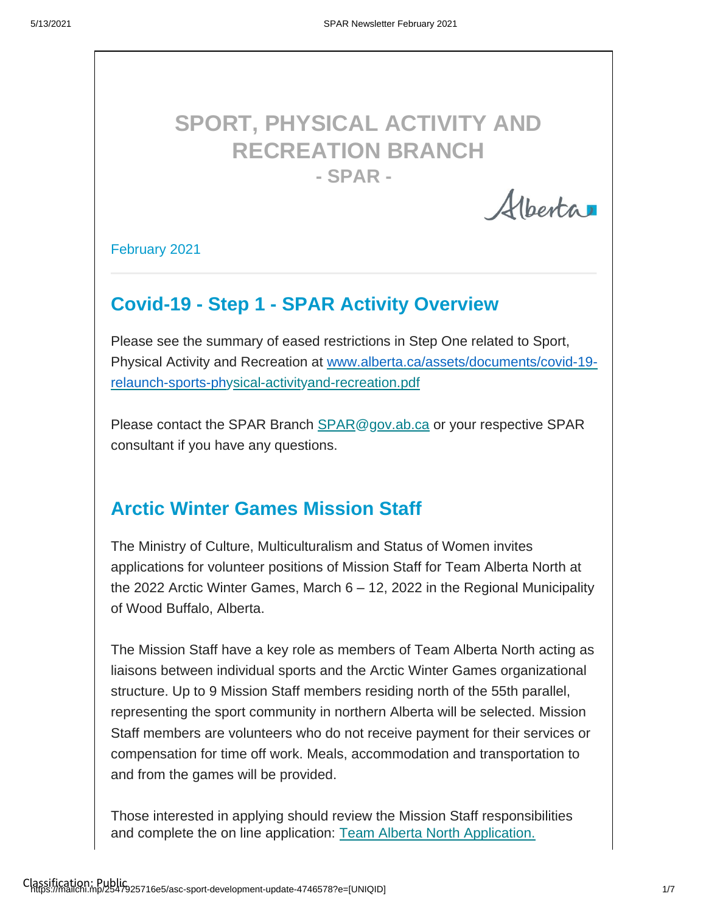# **SPORT, PHYSICAL ACTIVITY AND RECREATION BRANCH - SPAR -**

Alberta

#### February 2021

### **Covid-19 - Step 1 - SPAR Activity Overview**

Please see the summary of eased restrictions in Step One related to Sport, Physical Activity and Recreation at [www.alberta.ca/assets/documents/covid-19](http://www.alberta.ca/assets/documents/covid-19-relaunch-sports-ph) [relaunch-sports-ph](http://www.alberta.ca/assets/documents/covid-19-relaunch-sports-ph)[ysical-activityand-recreation.pdf](http://www.alberta.ca/assets/documents/covid-19-relaunch-sports-physical-activity-and-recreation.pdf)

Please contact the SPAR Branch [SPAR@gov.ab.ca](https://can01.safelinks.protection.outlook.com/?url=http%3A%2F%2FSPAR%40gov.ab.ca%2F&data=04%7C01%7Csheri.wilson%40gov.ab.ca%7C291cb0d763ce47f9598e08d8d9cf0f8e%7C2bb51c06af9b42c58bf53c3b7b10850b%7C0%7C0%7C637498830628846503%7CUnknown%7CTWFpbGZsb3d8eyJWIjoiMC4wLjAwMDAiLCJQIjoiV2luMzIiLCJBTiI6Ik1haWwiLCJXVCI6Mn0%3D%7C1000&sdata=3zko1lC4W2V3ccrM3ciQv18cn1ctRX2mX2XLdzgV9AQ%3D&reserved=0) or your respective SPAR consultant if you have any questions.

### **Arctic Winter Games Mission Staff**

The Ministry of Culture, Multiculturalism and Status of Women invites applications for volunteer positions of Mission Staff for Team Alberta North at the 2022 Arctic Winter Games, March 6 – 12, 2022 in the Regional Municipality of Wood Buffalo, Alberta.

The Mission Staff have a key role as members of Team Alberta North acting as liaisons between individual sports and the Arctic Winter Games organizational structure. Up to 9 Mission Staff members residing north of the 55th parallel, representing the sport community in northern Alberta will be selected. Mission Staff members are volunteers who do not receive payment for their services or compensation for time off work. Meals, accommodation and transportation to and from the games will be provided.

Those interested in applying should review the Mission Staff responsibilities and complete the on line application: [Team Alberta North Application.](https://albertasport.ca/team-alberta/arctic-winter-games/mission-staff-application/)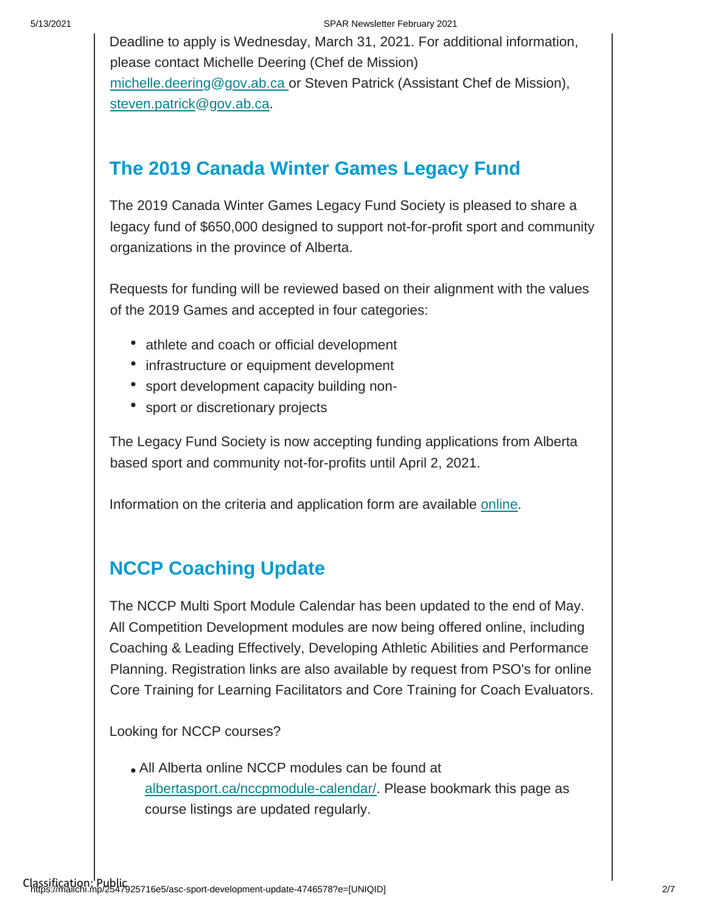Deadline to apply is Wednesday, March 31, 2021. For additional information, please contact Michelle Deering (Chef de Mission) [michelle.deering@gov.ab.ca o](http://michelle.deering@gov.ab.ca/)r Steven Patrick (Assistant Chef de Mission), [steven.patrick@gov.ab.ca.](http://michelle.deering@gov.ab.ca/)

## **The 2019 Canada Winter Games Legacy Fund**

The 2019 Canada Winter Games Legacy Fund Society is pleased to share a legacy fund of \$650,000 designed to support not-for-profit sport and community organizations in the province of Alberta.

Requests for funding will be reviewed based on their alignment with the values of the 2019 Games and accepted in four categories:

- athlete and coach or official development
- infrastructure or equipment development
- sport development capacity building non-
- sport or discretionary projects

The Legacy Fund Society is now accepting funding applications from Alberta based sport and community not-for-profits until April 2, 2021.

Information on the criteria and application form are available [online.](https://docs.google.com/forms/d/e/1FAIpQLSeOXplTuQnGSatUONR28baYU6_gScBJkppQYr4STfaE23JD_A/viewform?gxids=7628)

## **NCCP Coaching Update**

The NCCP Multi Sport Module Calendar has been updated to the end of May. All Competition Development modules are now being offered online, including Coaching & Leading Effectively, Developing Athletic Abilities and Performance Planning. Registration links are also available by request from PSO's for online Core Training for Learning Facilitators and Core Training for Coach Evaluators.

Looking for NCCP courses?

[All Alberta online NCCP modules can be found at](https://albertasport.ca/nccp-module-calendar/)  [albertasport.ca/nccpmodule-calendar/. Please bookmark this page as](https://albertasport.ca/nccp-module-calendar/)  [course listings are u](https://albertasport.ca/nccp-module-calendar/)pdated regularly.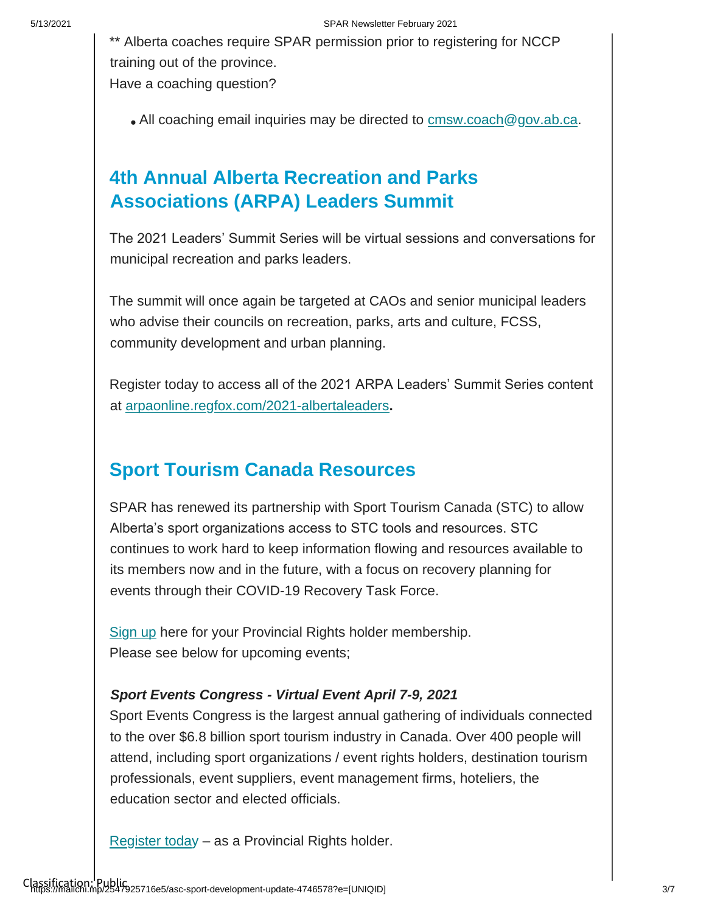\*\* Alberta coaches require SPAR permission prior to registering for NCCP training out of the province. Have a coaching question?

. All coaching email inquiries may be directed to cmsw.coach@gov.ab.ca.

## **4th Annual Alberta Recreation and Parks Associations (ARPA) Leaders Summit**

The 2021 Leaders' Summit Series will be virtual sessions and conversations for municipal recreation and parks leaders.

The summit will once again be targeted at CAOs and senior municipal leaders who advise their councils on recreation, parks, arts and culture, FCSS, community development and urban planning.

Register today to access all of the 2021 ARPA Leaders' Summit Series content at [arpaonline.regfox.com/2021-albertaleaders](https://arpaonline.regfox.com/2021-albertaleaders)**[.](https://arpaonline.regfox.com/2021-albertaleaders)**

## **Sport Tourism Canada Resources**

SPAR has renewed its partnership with Sport Tourism Canada (STC) to allow Alberta's sport organizations access to STC tools and resources. STC continues to work hard to keep information flowing and resources available to its members now and in the future, with a focus on recovery planning for events through their COVID-19 Recovery Task Force.

[Sign up](https://www.sporttourismcanada.com/membership-signup/) here for your Provincial Rights holder membership. Please see below for upcoming events;

#### *Sport Events Congress - Virtual Event April 7-9, 2021*

Sport Events Congress is the largest annual gathering of individuals connected to the over \$6.8 billion sport tourism industry in Canada. Over 400 people will attend, including sport organizations / event rights holders, destination tourism professionals, event suppliers, event management firms, hoteliers, the education sector and elected officials.

[Register today](https://can01.safelinks.protection.outlook.com/?url=https%3A%2F%2Fwww.sporttourismcanada.com%2Fsport-events-congress%2Fwhat-is-sports-event-congress%2Fsec-registration%2F&data=04%7C01%7Csheri.wilson%40gov.ab.ca%7C4c34a78b08ef4ea7c39d08d8d4612907%7C2bb51c06af9b42c58bf53c3b7b10850b%7C0%7C0%7C637492861052434735%7CUnknown%7CTWFpbGZsb3d8eyJWIjoiMC4wLjAwMDAiLCJQIjoiV2luMzIiLCJBTiI6Ik1haWwiLCJXVCI6Mn0%3D%7C1000&sdata=YDE2kQ8FHpYAEeTjJCuQHmS8%2FP8859n%2BYuEM70ol8nM%3D&reserved=0) – as a Provincial Rights holder.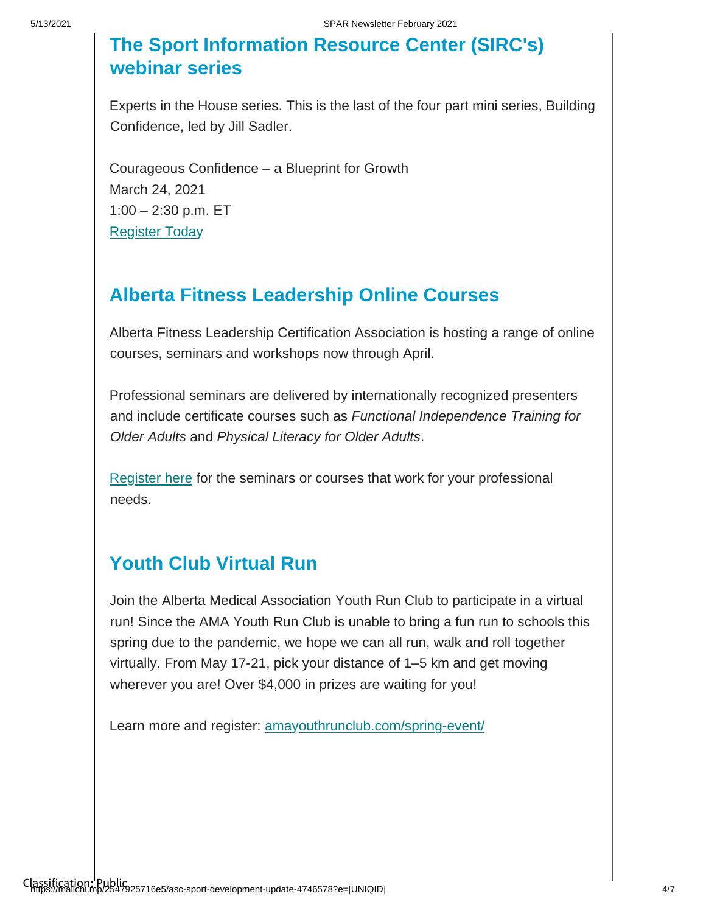## **The Sport Information Resource Center (SIRC's) webinar series**

Experts in the House series. This is the last of the four part mini series, Building Confidence, led by Jill Sadler.

Courageous Confidence – a Blueprint for Growth March 24, 2021 1:00 – 2:30 p.m. ET [Register Today](https://sirccanada.wufoo.com/forms/q1154e31sv03hp/)

## **Alberta Fitness Leadership Online Courses**

Alberta Fitness Leadership Certification Association is hosting a range of online courses, seminars and workshops now through April.

Professional seminars are delivered by internationally recognized presenters and include certificate courses such as *Functional Independence Training for Older Adults* and *Physical Literacy for Older Adults*.

[Register here](https://marketplace.ualberta.ca/pfu/professional-development.html) for the seminars or courses that work for your professional needs.

### **Youth Club Virtual Run**

Join the Alberta Medical Association Youth Run Club to participate in a virtual run! Since the AMA Youth Run Club is unable to bring a fun run to schools this spring due to the pandemic, we hope we can all run, walk and roll together virtually. From May 17-21, pick your distance of 1–5 km and get moving wherever you are! Over \$4,000 in prizes are waiting for you!

Learn more and register: [amayouthrunclub.com/spring-event/](https://amayouthrunclub.com/spring-event/)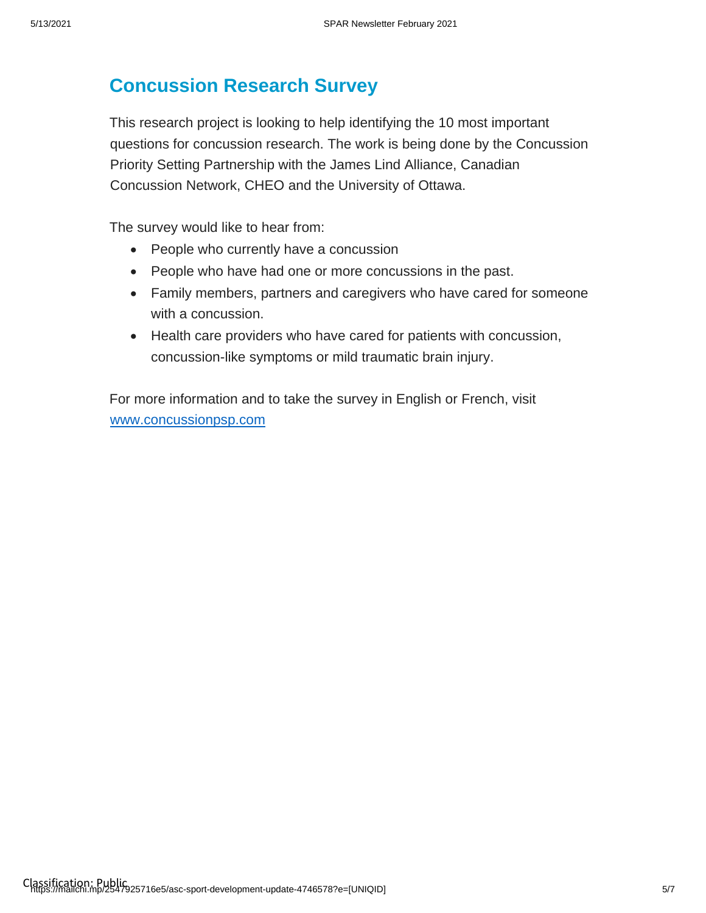## **Concussion Research Survey**

This research project is looking to help identifying the 10 most important questions for concussion research. The work is being done by the Concussion Priority Setting Partnership with the James Lind Alliance, Canadian Concussion Network, CHEO and the University of Ottawa.

The survey would like to hear from:

- People who currently have a concussion
- People who have had one or more concussions in the past.
- Family members, partners and caregivers who have cared for someone with a concussion.
- Health care providers who have cared for patients with concussion, concussion-like symptoms or mild traumatic brain injury.

For more information and to take the survey in English or French, visit [www.concussionpsp.com](file://///goa/desktop/P_S/sheri.wilson/Desktop/E%20newsletter/www.concussionpsp.com)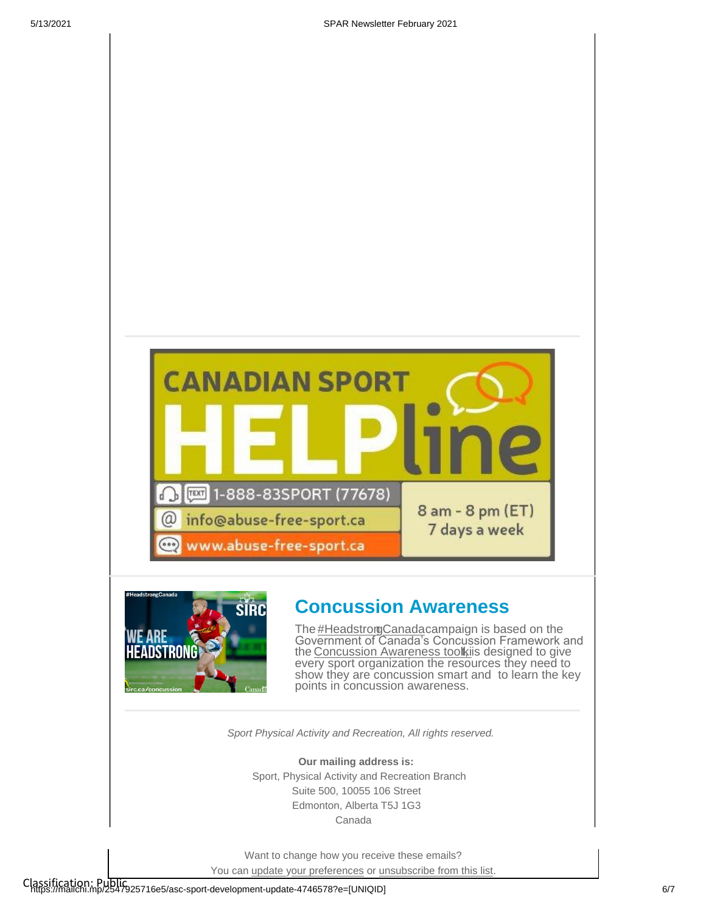



#### **Concussion Awareness**

The **#HeadstrorgCanada**campaign is based on the Government of Canada's Concussion Framework and th[e Concussion Awareness toolki](https://sirc.ca/concussion)is designed to give every sport organization the resources they need to show they are concussion smart and to learn the key points in concussion awareness.

*Sport Physical Activity and Recreation, All rights reserved.*

**Our mailing address is:** Sport, Physical Activity and Recreation Branch Suite 500, 10055 106 Street Edmonton, Alberta T5J 1G3 Canada

Want to change how you receive these emails?

You can [update your preferences](https://albertasport.us9.list-manage.com/profile?u=15111b9aff89c69816858e448&id=f3a69c7be4&e=%5bUNIQID%5d&c=0bdb3a1217) or [unsubscribe from this list.](https://albertasport.us9.list-manage.com/unsubscribe?u=15111b9aff89c69816858e448&id=f3a69c7be4&e=%5bUNIQID%5d&c=0bdb3a1217)